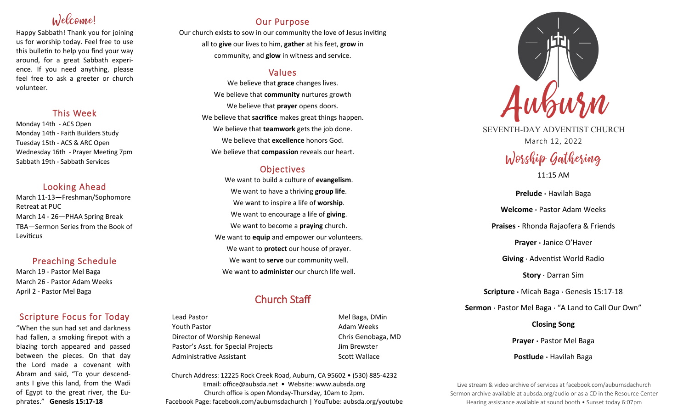# Welcome!

Happy Sabbath! Thank you for joining us for worship today. Feel free to use this bulletin to help you find your way around, for a great Sabbath experience. If you need anything, please feel free to ask a greeter or church volunteer.

## This Week

Monday 14th - ACS Open Monday 14th - Faith Builders Study Tuesday 15th - ACS & ARC Open Wednesday 16th - Prayer Meeting 7pm Sabbath 19th - Sabbath Services

## Looking Ahead

March 11-13—Freshman/Sophomore Retreat at PUC March 14 - 26—PHAA Spring Break TBA—Sermon Series from the Book of Leviticus

## Preaching Schedule

March 19 - Pastor Mel Baga March 26 - Pastor Adam Weeks April 2 - Pastor Mel Baga

## Scripture Focus for Today

"When the sun had set and darkness had fallen, a smoking firepot with a blazing torch appeared and passed between the pieces. On that day the Lord made a covenant with Abram and said, "To your descendants I give this land, from the Wadi of Egypt to the great river, the Euphrates." **Genesis 15:17-18**

## Our Purpose

Our church exists to sow in our community the love of Jesus inviting all to **give** our lives to him, **gather** at his feet, **grow** in community, and **glow** in witness and service.

## Values

We believe that **grace** changes lives. We believe that **community** nurtures growth We believe that **prayer** opens doors. We believe that **sacrifice** makes great things happen. We believe that **teamwork** gets the job done. We believe that **excellence** honors God. We believe that **compassion** reveals our heart.

## **Objectives**

We want to build a culture of **evangelism**. We want to have a thriving **group life**. We want to inspire a life of **worship**. We want to encourage a life of **giving**. We want to become a **praying** church. We want to **equip** and empower our volunteers. We want to **protect** our house of prayer. We want to **serve** our community well. We want to **administer** our church life well.

## Church Staff

Lead Pastor **Mel Baga, DMin** Youth Pastor **Adam Weeks Adam Weeks** Director of Worship Renewal **Chris Genobaga**, MD Pastor's Asst. for Special Projects Fig. 3.1 Jim Brewster Administrative Assistant National Controllery Scott Wallace

Church Address: 12225 Rock Creek Road, Auburn, CA 95602 • (530) 885-4232 Email: office@aubsda.net • Website: www.aubsda.org Church office is open Monday-Thursday, 10am to 2pm. Facebook Page: facebook.com/auburnsdachurch | YouTube: aubsda.org/youtube



SEVENTH-DAY ADVENTIST CHURCH March 12, 2022

# Worship Gathering

11:15 AM

**Prelude ·** Havilah Baga **Welcome ·** Pastor Adam Weeks **Praises ·** Rhonda Rajaofera & Friends **Prayer ·** Janice O'Haver **Giving** · Adventist World Radio **Story** · Darran Sim **Scripture ·** Micah Baga · Genesis 15:17-18 **Sermon** · Pastor Mel Baga · "A Land to Call Our Own" **Closing Song Prayer ·** Pastor Mel Baga

**Postlude ·** Havilah Baga

Live stream & video archive of services at facebook.com/auburnsdachurch Sermon archive available at aubsda.org/audio or as a CD in the Resource Center Hearing assistance available at sound booth • Sunset today 6:07pm